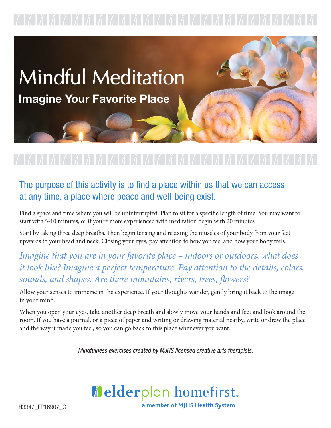

## The purpose of this activity is to find a place within us that we can access at any time, a place where peace and well-being exist.

Find a space and time where you will be uninterrupted. Plan to sit for a specific length of time. You may want to start with 5-10 minutes, or if you're more experienced with meditation begin with 20 minutes.

Start by taking three deep breaths. Then begin tensing and relaxing the muscles of your body from your feet upwards to your head and neck. Closing your eyes, pay attention to how you feel and how your body feels.

*Imagine that you are in your favorite place – indoors or outdoors, what does it look like? Imagine a perfect temperature. Pay attention to the details, colors, sounds, and shapes. Are there mountains, rivers, trees, flowers?*

Allow your senses to immerse in the experience. If your thoughts wander, gently bring it back to the image in your mind.

When you open your eyes, take another deep breath and slowly move your hands and feet and look around the room. If you have a journal, or a piece of paper and writing or drawing material nearby, write or draw the place and the way it made you feel, so you can go back to this place whenever you want.

Mindfulness exercises created by MJHS licensed creative arts therapists.



H3347\_EP16907\_C